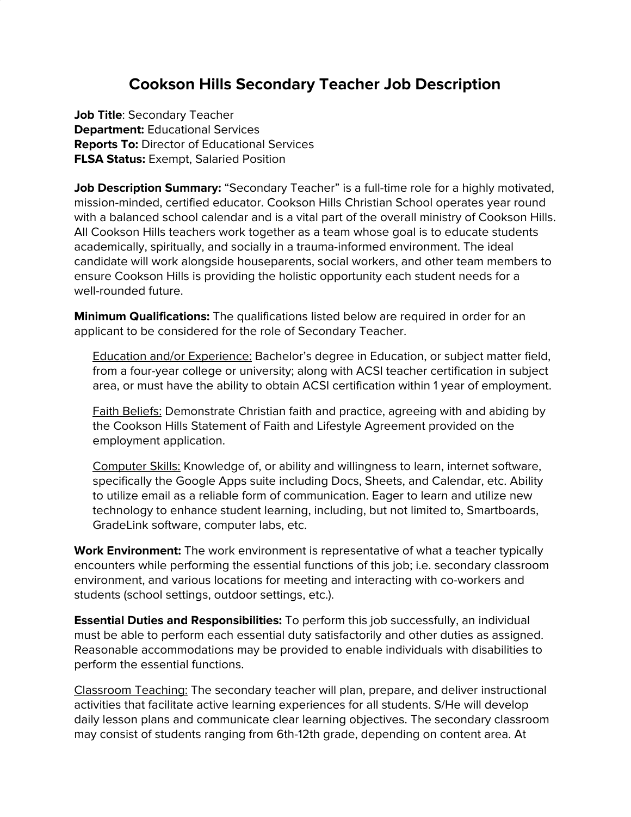## **Cookson Hills Secondary Teacher Job Description**

**Job Title**: Secondary Teacher **Department:** Educational Services **Reports To:** Director of Educational Services **FLSA Status:** Exempt, Salaried Position

**Job Description Summary:** "Secondary Teacher" is a full-time role for a highly motivated, mission-minded, certified educator. Cookson Hills Christian School operates year round with a balanced school calendar and is a vital part of the overall ministry of Cookson Hills. All Cookson Hills teachers work together as a team whose goal is to educate students academically, spiritually, and socially in a trauma-informed environment. The ideal candidate will work alongside houseparents, social workers, and other team members to ensure Cookson Hills is providing the holistic opportunity each student needs for a well-rounded future.

**Minimum Qualifications:** The qualifications listed below are required in order for an applicant to be considered for the role of Secondary Teacher.

**Education and/or Experience: Bachelor's degree in Education, or subject matter field,** from a four-year college or university; along with ACSI teacher certification in subject area, or must have the ability to obtain ACSI certification within 1 year of employment.

**Faith Beliefs:** Demonstrate Christian faith and practice, agreeing with and abiding by the Cookson Hills Statement of Faith and Lifestyle Agreement provided on the employment application.

Computer Skills: Knowledge of, or ability and willingness to learn, internet software, specifically the Google Apps suite including Docs, Sheets, and Calendar, etc. Ability to utilize email as a reliable form of communication. Eager to learn and utilize new technology to enhance student learning, including, but not limited to, Smartboards, GradeLink software, computer labs, etc.

**Work Environment:** The work environment is representative of what a teacher typically encounters while performing the essential functions of this job; i.e. secondary classroom environment, and various locations for meeting and interacting with co-workers and students (school settings, outdoor settings, etc.).

**Essential Duties and Responsibilities:** To perform this job successfully, an individual must be able to perform each essential duty satisfactorily and other duties as assigned. Reasonable accommodations may be provided to enable individuals with disabilities to perform the essential functions.

Classroom Teaching: The secondary teacher will plan, prepare, and deliver instructional activities that facilitate active learning experiences for all students. S/He will develop daily lesson plans and communicate clear learning objectives. The secondary classroom may consist of students ranging from 6th-12th grade, depending on content area. At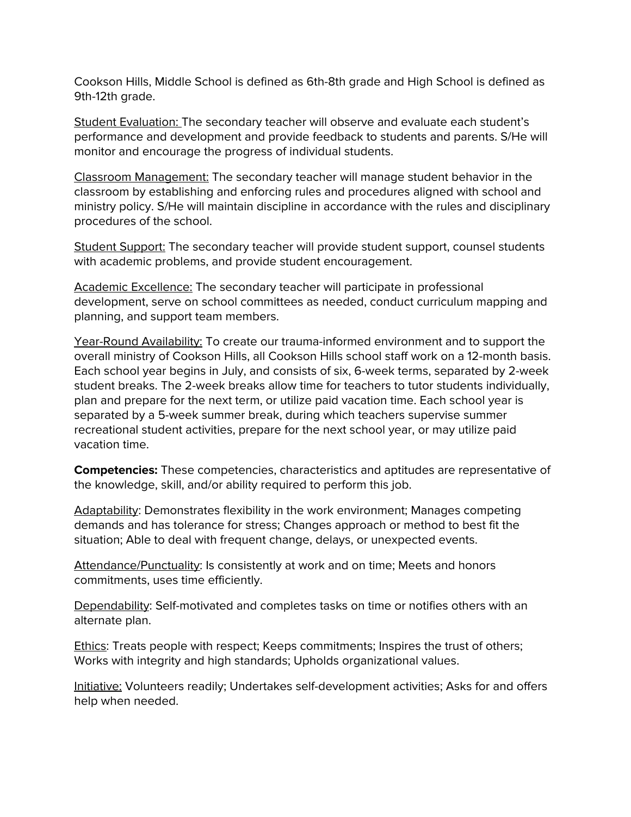Cookson Hills, Middle School is defined as 6th-8th grade and High School is defined as 9th-12th grade.

Student Evaluation: The secondary teacher will observe and evaluate each student's performance and development and provide feedback to students and parents. S/He will monitor and encourage the progress of individual students.

Classroom Management: The secondary teacher will manage student behavior in the classroom by establishing and enforcing rules and procedures aligned with school and ministry policy. S/He will maintain discipline in accordance with the rules and disciplinary procedures of the school.

Student Support: The secondary teacher will provide student support, counsel students with academic problems, and provide student encouragement.

Academic Excellence: The secondary teacher will participate in professional development, serve on school committees as needed, conduct curriculum mapping and planning, and support team members.

Year-Round Availability: To create our trauma-informed environment and to support the overall ministry of Cookson Hills, all Cookson Hills school staff work on a 12-month basis. Each school year begins in July, and consists of six, 6-week terms, separated by 2-week student breaks. The 2-week breaks allow time for teachers to tutor students individually, plan and prepare for the next term, or utilize paid vacation time. Each school year is separated by a 5-week summer break, during which teachers supervise summer recreational student activities, prepare for the next school year, or may utilize paid vacation time.

**Competencies:** These competencies, characteristics and aptitudes are representative of the knowledge, skill, and/or ability required to perform this job.

Adaptability: Demonstrates flexibility in the work environment; Manages competing demands and has tolerance for stress; Changes approach or method to best fit the situation; Able to deal with frequent change, delays, or unexpected events.

Attendance/Punctuality: Is consistently at work and on time; Meets and honors commitments, uses time efficiently.

Dependability: Self-motivated and completes tasks on time or notifies others with an alternate plan.

Ethics: Treats people with respect; Keeps commitments; Inspires the trust of others; Works with integrity and high standards; Upholds organizational values.

Initiative: Volunteers readily; Undertakes self-development activities; Asks for and offers help when needed.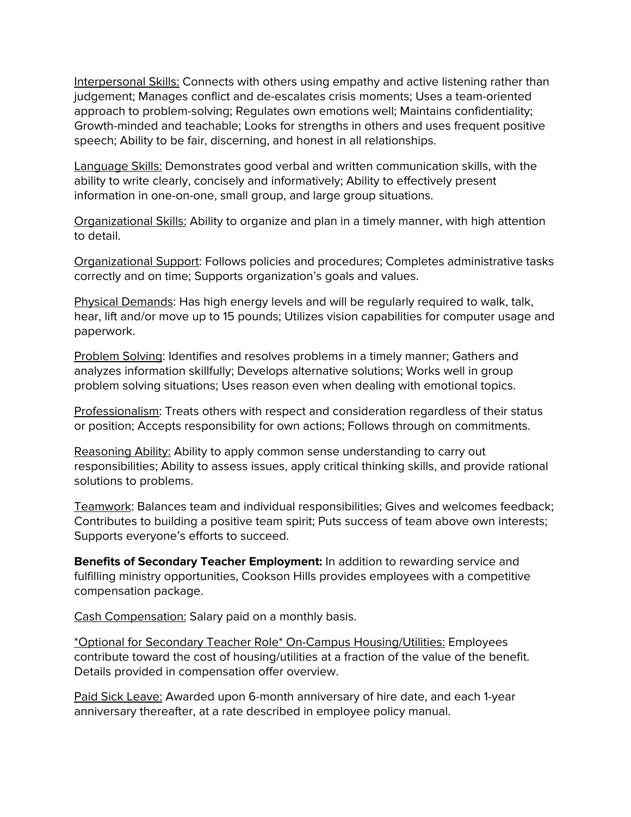Interpersonal Skills: Connects with others using empathy and active listening rather than judgement; Manages conflict and de-escalates crisis moments; Uses a team-oriented approach to problem-solving; Regulates own emotions well; Maintains confidentiality; Growth-minded and teachable; Looks for strengths in others and uses frequent positive speech; Ability to be fair, discerning, and honest in all relationships.

Language Skills: Demonstrates good verbal and written communication skills, with the ability to write clearly, concisely and informatively; Ability to effectively present information in one-on-one, small group, and large group situations.

Organizational Skills: Ability to organize and plan in a timely manner, with high attention to detail.

Organizational Support: Follows policies and procedures; Completes administrative tasks correctly and on time; Supports organization's goals and values.

Physical Demands: Has high energy levels and will be regularly required to walk, talk, hear, lift and/or move up to 15 pounds; Utilizes vision capabilities for computer usage and paperwork.

Problem Solving: Identifies and resolves problems in a timely manner; Gathers and analyzes information skillfully; Develops alternative solutions; Works well in group problem solving situations; Uses reason even when dealing with emotional topics.

Professionalism: Treats others with respect and consideration regardless of their status or position; Accepts responsibility for own actions; Follows through on commitments.

Reasoning Ability: Ability to apply common sense understanding to carry out responsibilities; Ability to assess issues, apply critical thinking skills, and provide rational solutions to problems.

Teamwork: Balances team and individual responsibilities; Gives and welcomes feedback; Contributes to building a positive team spirit; Puts success of team above own interests; Supports everyone's efforts to succeed.

**Benefits of Secondary Teacher Employment:** In addition to rewarding service and fulfilling ministry opportunities, Cookson Hills provides employees with a competitive compensation package.

Cash Compensation: Salary paid on a monthly basis.

\*Optional for Secondary Teacher Role\* On-Campus Housing/Utilities: Employees contribute toward the cost of housing/utilities at a fraction of the value of the benefit. Details provided in compensation offer overview.

Paid Sick Leave: Awarded upon 6-month anniversary of hire date, and each 1-year anniversary thereafter, at a rate described in employee policy manual.